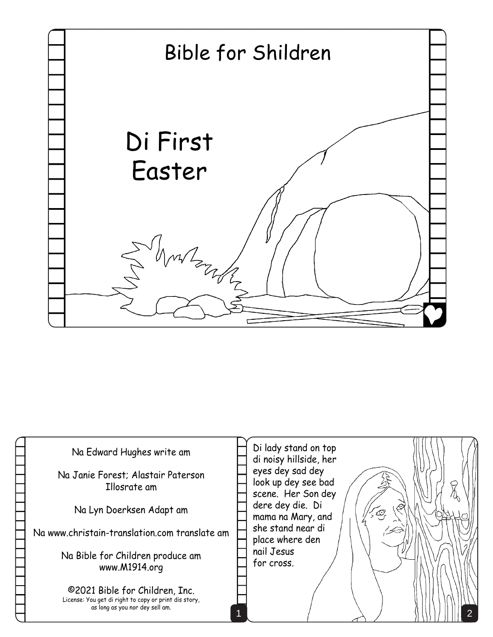

| Na Edward Hughes write am<br>Na Janie Forest; Alastair Paterson<br>Illosrate am<br>Na Lyn Doerksen Adapt am<br>Na www.christain-translation.com translate am<br>Na Bible for Children produce am<br>www.M1914.org<br>©2021 Bible for Children, Inc.<br>License: You get di right to copy or print dis story,<br>as long as you nor dey sell am. | Di lady stand on top<br>di noisy hillside, her<br>eyes dey sad dey<br>look up dey see bad<br>scene. Her Son dey<br>dere dey die. Di<br>mama na Mary, and<br>she stand near di<br>place where den<br>nail Jesus<br>for cross. |  |  |
|-------------------------------------------------------------------------------------------------------------------------------------------------------------------------------------------------------------------------------------------------------------------------------------------------------------------------------------------------|------------------------------------------------------------------------------------------------------------------------------------------------------------------------------------------------------------------------------|--|--|
|-------------------------------------------------------------------------------------------------------------------------------------------------------------------------------------------------------------------------------------------------------------------------------------------------------------------------------------------------|------------------------------------------------------------------------------------------------------------------------------------------------------------------------------------------------------------------------------|--|--|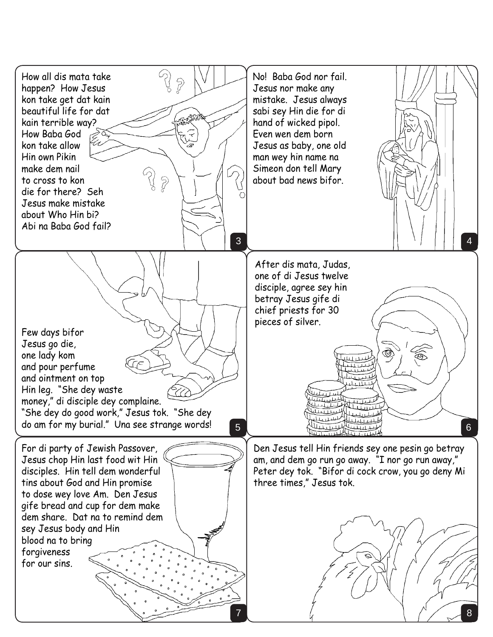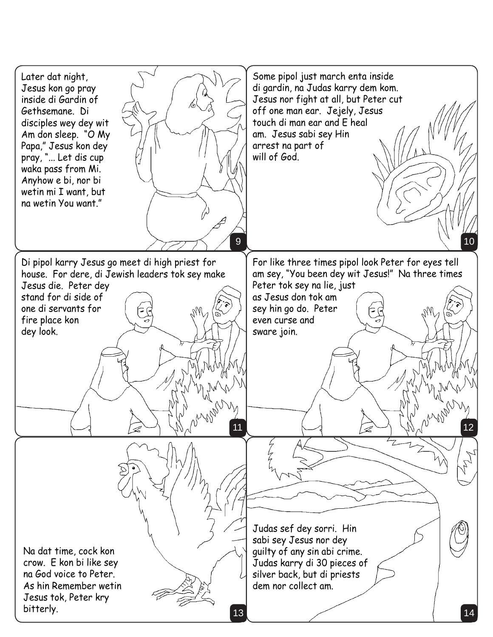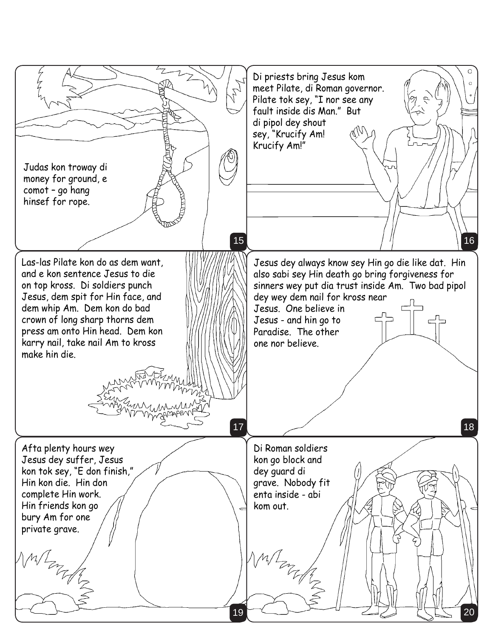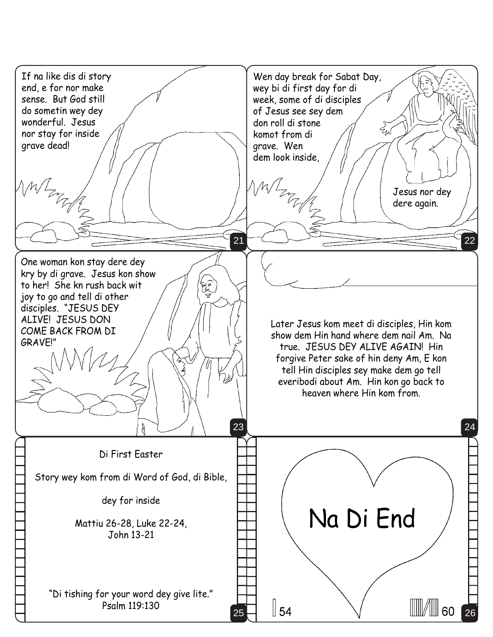